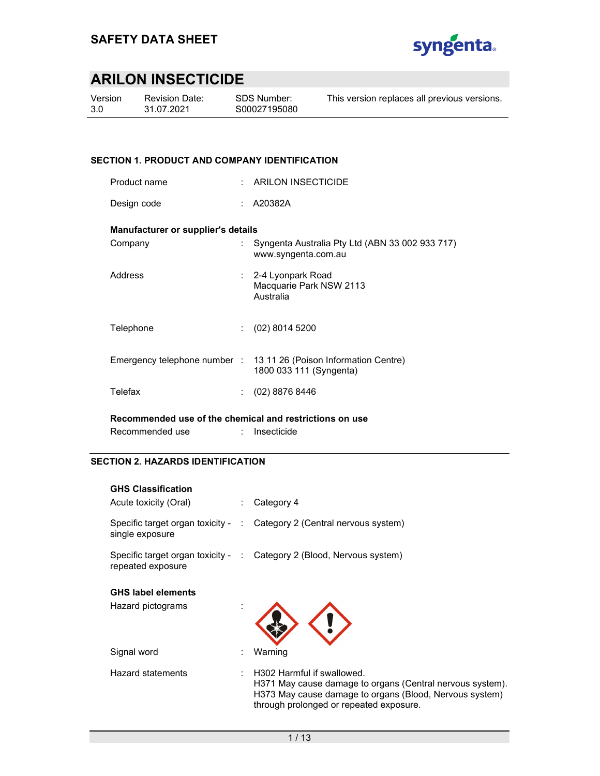

Version 3.0

Revision Date: 31.07.2021

SDS Number: S00027195080 This version replaces all previous versions.

#### SECTION 1. PRODUCT AND COMPANY IDENTIFICATION

| Product name                                            | . . | <b>ARILON INSECTICIDE</b>                                                                    |
|---------------------------------------------------------|-----|----------------------------------------------------------------------------------------------|
| Design code                                             |     | A20382A                                                                                      |
| Manufacturer or supplier's details                      |     |                                                                                              |
| Company                                                 |     | Syngenta Australia Pty Ltd (ABN 33 002 933 717)<br>www.syngenta.com.au                       |
| Address                                                 |     | : 2-4 Lyonpark Road<br>Macquarie Park NSW 2113<br>Australia                                  |
| Telephone                                               |     | $(02)$ 8014 5200                                                                             |
|                                                         |     | Emergency telephone number : 13 11 26 (Poison Information Centre)<br>1800 033 111 (Syngenta) |
| Telefax                                                 |     | $(02)$ 8876 8446                                                                             |
| Recommended use of the chemical and restrictions on use |     |                                                                                              |

Recommended use : Insecticide

#### SECTION 2. HAZARDS IDENTIFICATION

| <b>GHS Classification</b>                               |                                                                                                                                                                                               |
|---------------------------------------------------------|-----------------------------------------------------------------------------------------------------------------------------------------------------------------------------------------------|
| Acute toxicity (Oral)                                   | Category 4                                                                                                                                                                                    |
| single exposure                                         | Specific target organ toxicity - : Category 2 (Central nervous system)                                                                                                                        |
| Specific target organ toxicity - :<br>repeated exposure | Category 2 (Blood, Nervous system)                                                                                                                                                            |
| <b>GHS label elements</b>                               |                                                                                                                                                                                               |
| Hazard pictograms                                       |                                                                                                                                                                                               |
| Signal word                                             | Warning                                                                                                                                                                                       |
| Hazard statements                                       | H302 Harmful if swallowed.<br>H371 May cause damage to organs (Central nervous system).<br>H373 May cause damage to organs (Blood, Nervous system)<br>through prolonged or repeated exposure. |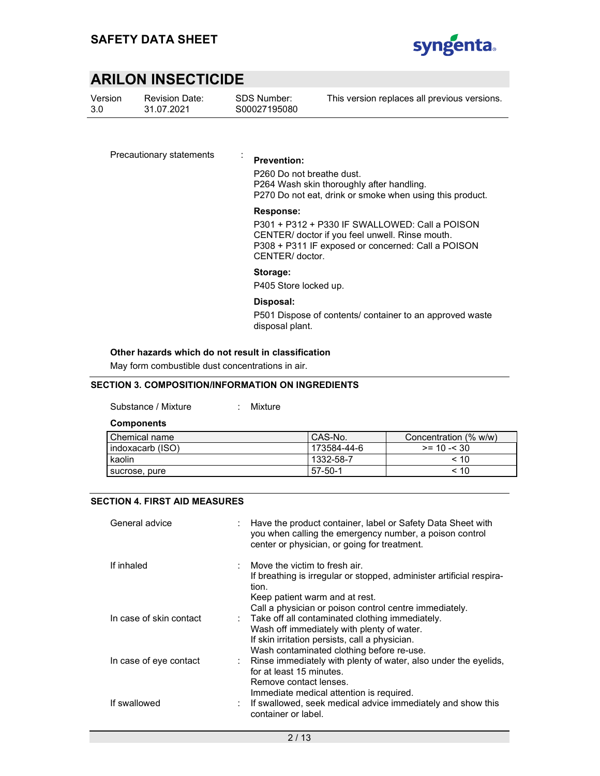

Version 3.0

Revision Date: 31.07.2021

SDS Number: S00027195080 This version replaces all previous versions.

Precautionary statements : Prevention:

P260 Do not breathe dust. P264 Wash skin thoroughly after handling. P270 Do not eat, drink or smoke when using this product.

#### Response:

P301 + P312 + P330 IF SWALLOWED: Call a POISON CENTER/ doctor if you feel unwell. Rinse mouth. P308 + P311 IF exposed or concerned: Call a POISON CENTER/ doctor.

#### Storage:

P405 Store locked up.

#### Disposal:

P501 Dispose of contents/ container to an approved waste disposal plant.

#### Other hazards which do not result in classification

May form combustible dust concentrations in air.

#### SECTION 3. COMPOSITION/INFORMATION ON INGREDIENTS

Substance / Mixture : Mixture

**Components** 

| Chemical name      | CAS-No.     | Concentration (% w/w) |
|--------------------|-------------|-----------------------|
| l indoxacarb (ISO) | 173584-44-6 | $>= 10 - 30$          |
| kaolin             | l 1332-58-7 | $~<$ 10               |
| sucrose, pure      | 57-50-1     | < 10                  |

#### SECTION 4. FIRST AID MEASURES

| General advice          | Have the product container, label or Safety Data Sheet with<br>you when calling the emergency number, a poison control<br>center or physician, or going for treatment.                                                  |
|-------------------------|-------------------------------------------------------------------------------------------------------------------------------------------------------------------------------------------------------------------------|
| If inhaled              | $\therefore$ Move the victim to fresh air.<br>If breathing is irregular or stopped, administer artificial respira-<br>tion.<br>Keep patient warm and at rest.<br>Call a physician or poison control centre immediately. |
| In case of skin contact | : Take off all contaminated clothing immediately.<br>Wash off immediately with plenty of water.<br>If skin irritation persists, call a physician.<br>Wash contaminated clothing before re-use.                          |
| In case of eye contact  | : Rinse immediately with plenty of water, also under the eyelids,<br>for at least 15 minutes.<br>Remove contact lenses.                                                                                                 |
| If swallowed            | Immediate medical attention is required.<br>: If swallowed, seek medical advice immediately and show this<br>container or label.                                                                                        |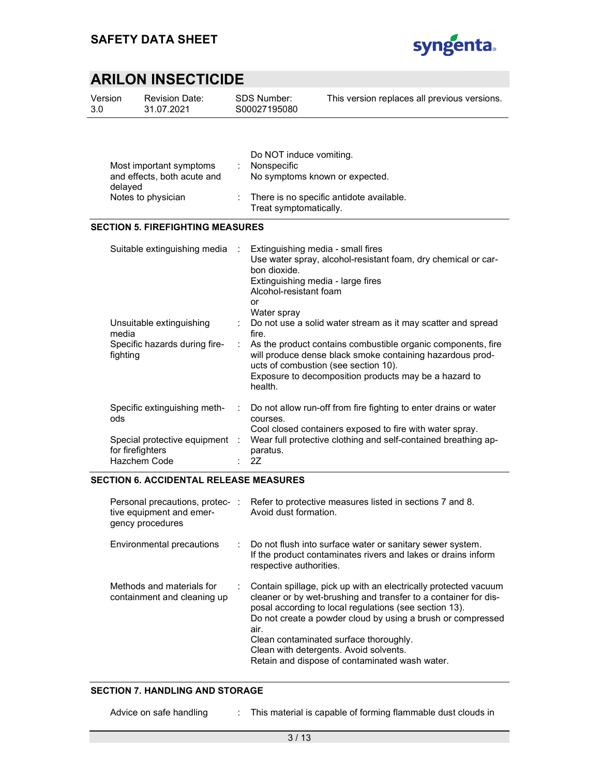

| Version | <b>Revision Date:</b> | SDS Number:  | This version replaces all previous versions. |
|---------|-----------------------|--------------|----------------------------------------------|
| 3.0     | 31.07.2021            | S00027195080 |                                              |
|         |                       |              |                                              |

|                                        | Do NOT induce vomiting.                                              |
|----------------------------------------|----------------------------------------------------------------------|
| Most important symptoms                | Nonspecific                                                          |
| and effects, both acute and<br>delayed | No symptoms known or expected.                                       |
| Notes to physician                     | : There is no specific antidote available.<br>Treat symptomatically. |

#### SECTION 5. FIREFIGHTING MEASURES

| Suitable extinguishing media<br>Unsuitable extinguishing<br>media<br>Specific hazards during fire-<br>fighting | ÷             | Extinguishing media - small fires<br>Use water spray, alcohol-resistant foam, dry chemical or car-<br>bon dioxide.<br>Extinguishing media - large fires<br>Alcohol-resistant foam<br>or<br>Water spray<br>: Do not use a solid water stream as it may scatter and spread<br>fire.<br>As the product contains combustible organic components, fire<br>will produce dense black smoke containing hazardous prod-<br>ucts of combustion (see section 10).<br>Exposure to decomposition products may be a hazard to |
|----------------------------------------------------------------------------------------------------------------|---------------|-----------------------------------------------------------------------------------------------------------------------------------------------------------------------------------------------------------------------------------------------------------------------------------------------------------------------------------------------------------------------------------------------------------------------------------------------------------------------------------------------------------------|
| Specific extinguishing meth-<br>ods                                                                            | $\mathcal{L}$ | health.<br>Do not allow run-off from fire fighting to enter drains or water<br>courses.                                                                                                                                                                                                                                                                                                                                                                                                                         |
| Special protective equipment :                                                                                 |               | Cool closed containers exposed to fire with water spray.<br>Wear full protective clothing and self-contained breathing ap-                                                                                                                                                                                                                                                                                                                                                                                      |
| for firefighters<br>Hazchem Code                                                                               |               | paratus.<br>2Z                                                                                                                                                                                                                                                                                                                                                                                                                                                                                                  |

#### SECTION 6. ACCIDENTAL RELEASE MEASURES

| Personal precautions, protec-:<br>tive equipment and emer-<br>gency procedures |    | Refer to protective measures listed in sections 7 and 8.<br>Avoid dust formation.                                                                                                                                                                                                                                                                                                                         |
|--------------------------------------------------------------------------------|----|-----------------------------------------------------------------------------------------------------------------------------------------------------------------------------------------------------------------------------------------------------------------------------------------------------------------------------------------------------------------------------------------------------------|
| Environmental precautions                                                      |    | : Do not flush into surface water or sanitary sewer system.<br>If the product contaminates rivers and lakes or drains inform<br>respective authorities.                                                                                                                                                                                                                                                   |
| Methods and materials for<br>containment and cleaning up                       | ÷. | Contain spillage, pick up with an electrically protected vacuum<br>cleaner or by wet-brushing and transfer to a container for dis-<br>posal according to local regulations (see section 13).<br>Do not create a powder cloud by using a brush or compressed<br>air.<br>Clean contaminated surface thoroughly.<br>Clean with detergents. Avoid solvents.<br>Retain and dispose of contaminated wash water. |

#### SECTION 7. HANDLING AND STORAGE

Advice on safe handling : This material is capable of forming flammable dust clouds in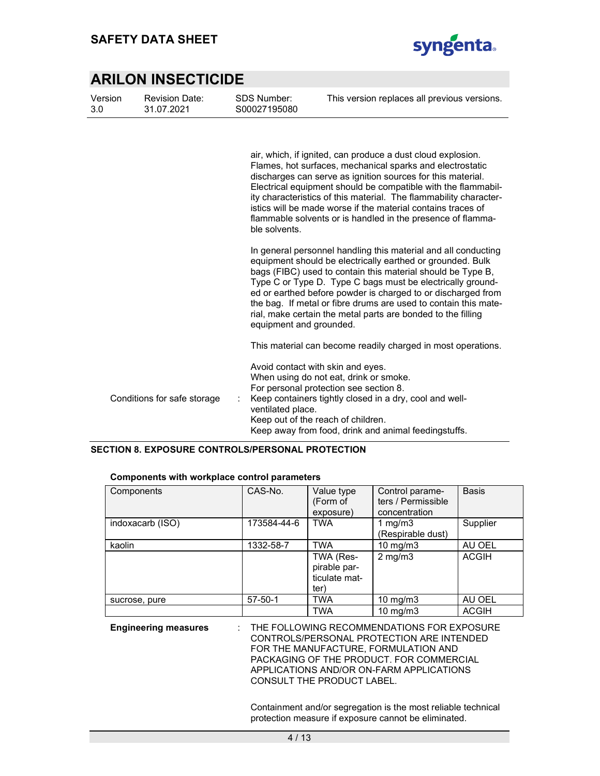

| Version<br>3.0 | <b>Revision Date:</b><br>31.07.2021 | <b>SDS Number:</b><br>S00027195080 | This version replaces all previous versions.                                                                                                                                                                                                                                                                                                                                                                                                                 |
|----------------|-------------------------------------|------------------------------------|--------------------------------------------------------------------------------------------------------------------------------------------------------------------------------------------------------------------------------------------------------------------------------------------------------------------------------------------------------------------------------------------------------------------------------------------------------------|
|                |                                     | ble solvents.                      | air, which, if ignited, can produce a dust cloud explosion.<br>Flames, hot surfaces, mechanical sparks and electrostatic<br>discharges can serve as ignition sources for this material.<br>Electrical equipment should be compatible with the flammabil-<br>ity characteristics of this material. The flammability character-<br>istics will be made worse if the material contains traces of<br>flammable solvents or is handled in the presence of flamma- |
|                |                                     | equipment and grounded.            | In general personnel handling this material and all conducting<br>equipment should be electrically earthed or grounded. Bulk<br>bags (FIBC) used to contain this material should be Type B,<br>Type C or Type D. Type C bags must be electrically ground-<br>ed or earthed before powder is charged to or discharged from<br>the bag. If metal or fibre drums are used to contain this mate-<br>rial, make certain the metal parts are bonded to the filling |
|                |                                     |                                    | This material can become readily charged in most operations.                                                                                                                                                                                                                                                                                                                                                                                                 |
|                | Conditions for safe storage         | ventilated place.                  | Avoid contact with skin and eyes.<br>When using do not eat, drink or smoke.<br>For personal protection see section 8.<br>Keep containers tightly closed in a dry, cool and well-                                                                                                                                                                                                                                                                             |
|                |                                     |                                    | Keep out of the reach of children.<br>Keep away from food, drink and animal feedingstuffs.                                                                                                                                                                                                                                                                                                                                                                   |

#### SECTION 8. EXPOSURE CONTROLS/PERSONAL PROTECTION

| Components       | CAS-No.       | Value type<br>(Form of<br>exposure)                | Control parame-<br>ters / Permissible<br>concentration | <b>Basis</b> |
|------------------|---------------|----------------------------------------------------|--------------------------------------------------------|--------------|
| indoxacarb (ISO) | 173584-44-6   | <b>TWA</b>                                         | 1 mg/m $3$<br>(Respirable dust)                        | Supplier     |
| kaolin           | 1332-58-7     | <b>TWA</b>                                         | $10 \text{ mg/m}$                                      | AU OEL       |
|                  |               | TWA (Res-<br>pirable par-<br>ticulate mat-<br>ter) | $2$ mg/m $3$                                           | <b>ACGIH</b> |
| sucrose, pure    | $57 - 50 - 1$ | <b>TWA</b>                                         | 10 mg/m $3$                                            | AU OEL       |
|                  |               | <b>TWA</b>                                         | $10 \text{ mg/m}$                                      | <b>ACGIH</b> |

#### Components with workplace control parameters

#### Engineering measures : THE FOLLOWING RECOMMENDATIONS FOR EXPOSURE CONTROLS/PERSONAL PROTECTION ARE INTENDED FOR THE MANUFACTURE, FORMULATION AND PACKAGING OF THE PRODUCT. FOR COMMERCIAL APPLICATIONS AND/OR ON-FARM APPLICATIONS CONSULT THE PRODUCT LABEL.

Containment and/or segregation is the most reliable technical protection measure if exposure cannot be eliminated.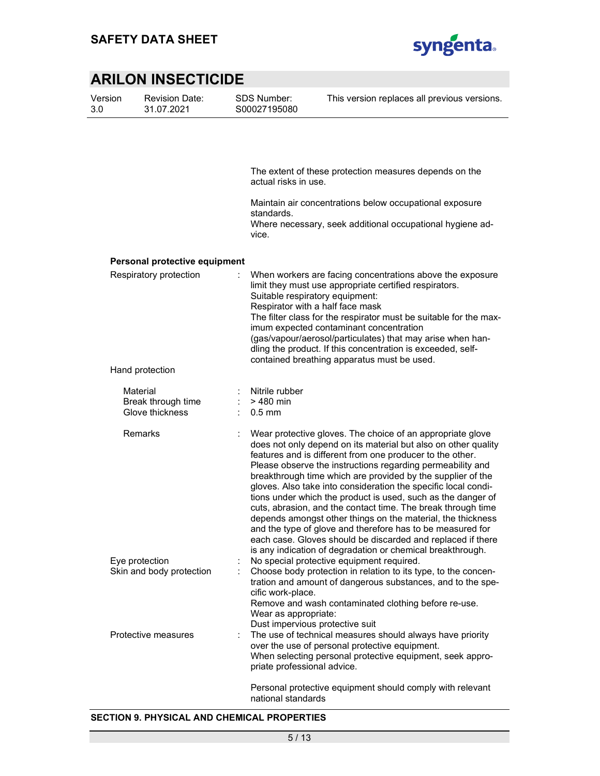

| Version | <b>Revision Date:</b> |
|---------|-----------------------|
| 3.0     | 31.07.2021            |

SDS Number: S00027195080

|                                                   | The extent of these protection measures depends on the<br>actual risks in use.                                                                                                                                                                                                                                                                                                                                                                                                                                                                                                                                                                                                                                                                                                     |
|---------------------------------------------------|------------------------------------------------------------------------------------------------------------------------------------------------------------------------------------------------------------------------------------------------------------------------------------------------------------------------------------------------------------------------------------------------------------------------------------------------------------------------------------------------------------------------------------------------------------------------------------------------------------------------------------------------------------------------------------------------------------------------------------------------------------------------------------|
|                                                   | Maintain air concentrations below occupational exposure<br>standards.<br>Where necessary, seek additional occupational hygiene ad-<br>vice.                                                                                                                                                                                                                                                                                                                                                                                                                                                                                                                                                                                                                                        |
|                                                   |                                                                                                                                                                                                                                                                                                                                                                                                                                                                                                                                                                                                                                                                                                                                                                                    |
| Personal protective equipment                     |                                                                                                                                                                                                                                                                                                                                                                                                                                                                                                                                                                                                                                                                                                                                                                                    |
| Respiratory protection                            | When workers are facing concentrations above the exposure<br>limit they must use appropriate certified respirators.<br>Suitable respiratory equipment:<br>Respirator with a half face mask<br>The filter class for the respirator must be suitable for the max-<br>imum expected contaminant concentration<br>(gas/vapour/aerosol/particulates) that may arise when han-<br>dling the product. If this concentration is exceeded, self-<br>contained breathing apparatus must be used.                                                                                                                                                                                                                                                                                             |
| Hand protection                                   |                                                                                                                                                                                                                                                                                                                                                                                                                                                                                                                                                                                                                                                                                                                                                                                    |
| Material<br>Break through time<br>Glove thickness | Nitrile rubber<br>$>480$ min<br>$0.5$ mm                                                                                                                                                                                                                                                                                                                                                                                                                                                                                                                                                                                                                                                                                                                                           |
| Remarks                                           | Wear protective gloves. The choice of an appropriate glove<br>does not only depend on its material but also on other quality<br>features and is different from one producer to the other.<br>Please observe the instructions regarding permeability and<br>breakthrough time which are provided by the supplier of the<br>gloves. Also take into consideration the specific local condi-<br>tions under which the product is used, such as the danger of<br>cuts, abrasion, and the contact time. The break through time<br>depends amongst other things on the material, the thickness<br>and the type of glove and therefore has to be measured for<br>each case. Gloves should be discarded and replaced if there<br>is any indication of degradation or chemical breakthrough. |
| Eye protection<br>Skin and body protection        | No special protective equipment required.<br>Choose body protection in relation to its type, to the concen-<br>tration and amount of dangerous substances, and to the spe-<br>cific work-place.<br>Remove and wash contaminated clothing before re-use.<br>Wear as appropriate:<br>Dust impervious protective suit                                                                                                                                                                                                                                                                                                                                                                                                                                                                 |
| Protective measures                               | The use of technical measures should always have priority<br>over the use of personal protective equipment.<br>When selecting personal protective equipment, seek appro-<br>priate professional advice.                                                                                                                                                                                                                                                                                                                                                                                                                                                                                                                                                                            |
|                                                   | Personal protective equipment should comply with relevant<br>national standards                                                                                                                                                                                                                                                                                                                                                                                                                                                                                                                                                                                                                                                                                                    |

#### SECTION 9. PHYSICAL AND CHEMICAL PROPERTIES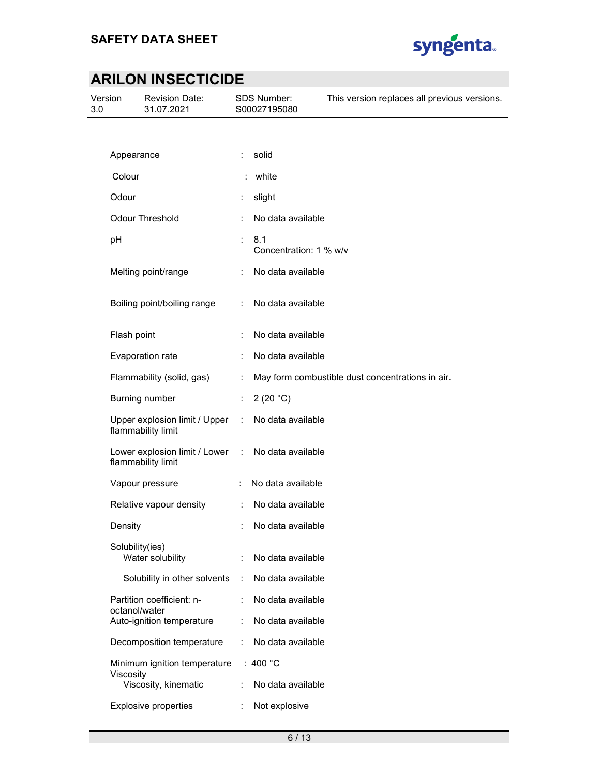

| Version<br>3.0 |                 | <b>Revision Date:</b><br>31.07.2021                 |                      | <b>SDS Number:</b><br>S00027195080 | This version replaces all previous versions.     |
|----------------|-----------------|-----------------------------------------------------|----------------------|------------------------------------|--------------------------------------------------|
|                |                 |                                                     |                      |                                    |                                                  |
|                | Appearance      |                                                     | ÷                    | solid                              |                                                  |
|                | Colour          |                                                     |                      | white                              |                                                  |
|                | Odour           |                                                     | ÷                    | slight                             |                                                  |
|                |                 | <b>Odour Threshold</b>                              | ÷                    | No data available                  |                                                  |
|                | pH              |                                                     | t.                   | 8.1<br>Concentration: 1 % w/v      |                                                  |
|                |                 | Melting point/range                                 |                      | No data available                  |                                                  |
|                |                 | Boiling point/boiling range                         | ÷                    | No data available                  |                                                  |
|                | Flash point     |                                                     |                      | No data available                  |                                                  |
|                |                 | Evaporation rate                                    | $\ddot{\cdot}$       | No data available                  |                                                  |
|                |                 | Flammability (solid, gas)                           | ÷                    |                                    | May form combustible dust concentrations in air. |
|                |                 | Burning number                                      | ÷.                   | 2(20 °C)                           |                                                  |
|                |                 | Upper explosion limit / Upper<br>flammability limit | $\ddot{\phantom{a}}$ | No data available                  |                                                  |
|                |                 | Lower explosion limit / Lower<br>flammability limit | $\ddot{\phantom{a}}$ | No data available                  |                                                  |
|                |                 | Vapour pressure                                     |                      | No data available                  |                                                  |
|                |                 | Relative vapour density                             | $\mathcal{L}$        | No data available                  |                                                  |
|                | Density         |                                                     |                      | No data available                  |                                                  |
|                | Solubility(ies) | Water solubility                                    | ÷                    | No data available                  |                                                  |
|                |                 | Solubility in other solvents                        | $\ddot{\phantom{a}}$ | No data available                  |                                                  |
|                | octanol/water   | Partition coefficient: n-                           | ÷                    | No data available                  |                                                  |
|                |                 | Auto-ignition temperature                           | $\ddot{\phantom{a}}$ | No data available                  |                                                  |
|                |                 | Decomposition temperature                           |                      | No data available                  |                                                  |
|                |                 | Minimum ignition temperature                        |                      | : 400 $^{\circ}$ C                 |                                                  |
|                | Viscosity       | Viscosity, kinematic                                |                      | No data available                  |                                                  |
|                |                 | <b>Explosive properties</b>                         |                      | Not explosive                      |                                                  |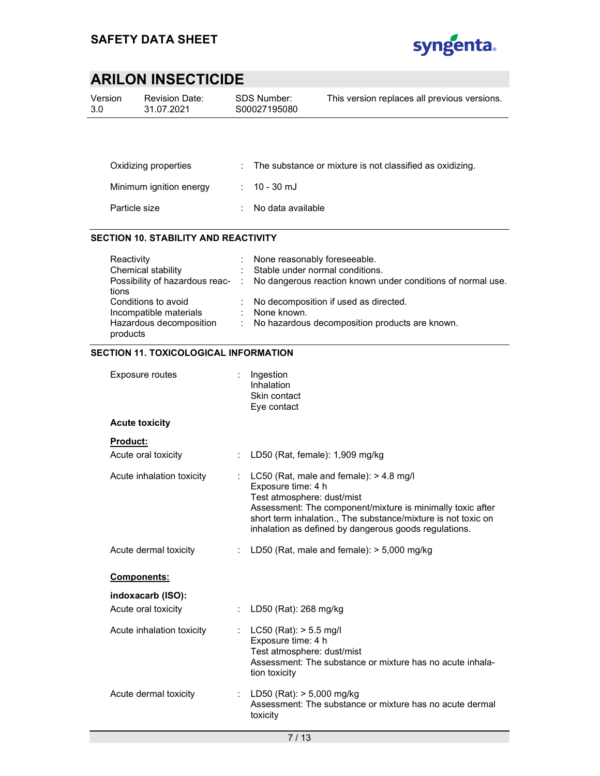

| Version | <b>Revision Date:</b> | SDS Number:  | This version replaces all previous versions. |
|---------|-----------------------|--------------|----------------------------------------------|
| 3.0     | 31.07.2021            | S00027195080 |                                              |
|         |                       |              |                                              |

| Oxidizing properties    | $\therefore$ The substance or mixture is not classified as oxidizing. |
|-------------------------|-----------------------------------------------------------------------|
| Minimum ignition energy | $: 10 - 30$ mJ                                                        |
| Particle size           | : No data available                                                   |

#### SECTION 10. STABILITY AND REACTIVITY

| Reactivity              |    | None reasonably foreseeable.                                                                 |
|-------------------------|----|----------------------------------------------------------------------------------------------|
| Chemical stability      |    | : Stable under normal conditions.                                                            |
|                         |    | Possibility of hazardous reac- : No dangerous reaction known under conditions of normal use. |
| tions                   |    |                                                                                              |
| Conditions to avoid     |    | : No decomposition if used as directed.                                                      |
| Incompatible materials  | ÷. | None known.                                                                                  |
| Hazardous decomposition |    | : No hazardous decomposition products are known.                                             |
| products                |    |                                                                                              |
|                         |    |                                                                                              |

#### SECTION 11. TOXICOLOGICAL INFORMATION

| Exposure routes                 | $:$ Ingestion<br>Inhalation<br>Skin contact<br>Eye contact                                                                                                                                                                                                                          |
|---------------------------------|-------------------------------------------------------------------------------------------------------------------------------------------------------------------------------------------------------------------------------------------------------------------------------------|
| <b>Acute toxicity</b>           |                                                                                                                                                                                                                                                                                     |
| Product:                        |                                                                                                                                                                                                                                                                                     |
| Acute oral toxicity             | LD50 (Rat, female): 1,909 mg/kg                                                                                                                                                                                                                                                     |
| Acute inhalation toxicity<br>t. | LC50 (Rat, male and female): > 4.8 mg/l<br>Exposure time: 4 h<br>Test atmosphere: dust/mist<br>Assessment: The component/mixture is minimally toxic after<br>short term inhalation., The substance/mixture is not toxic on<br>inhalation as defined by dangerous goods regulations. |
| Acute dermal toxicity           | LD50 (Rat, male and female): $> 5,000$ mg/kg                                                                                                                                                                                                                                        |
| Components:                     |                                                                                                                                                                                                                                                                                     |
| indoxacarb (ISO):               |                                                                                                                                                                                                                                                                                     |
| Acute oral toxicity             | LD50 (Rat): 268 mg/kg                                                                                                                                                                                                                                                               |
| Acute inhalation toxicity<br>÷. | $LC50$ (Rat): $> 5.5$ mg/l<br>Exposure time: 4 h<br>Test atmosphere: dust/mist<br>Assessment: The substance or mixture has no acute inhala-<br>tion toxicity                                                                                                                        |
| Acute dermal toxicity           | : LD50 (Rat): $> 5,000$ mg/kg<br>Assessment: The substance or mixture has no acute dermal<br>toxicity                                                                                                                                                                               |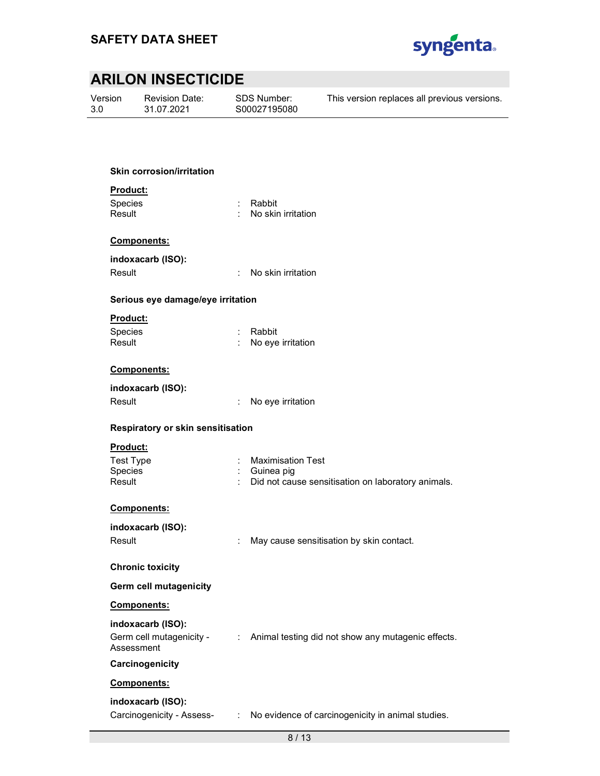

Version 3.0

Revision Date: 31.07.2021

SDS Number: S00027195080 This version replaces all previous versions.

#### Skin corrosion/irritation

#### Product:

Species : Rabbit

Result : No skin irritation

#### Components:

indoxacarb (ISO):

Result : No skin irritation

#### Serious eye damage/eye irritation

#### Product:

| Species | : Rabbit          |
|---------|-------------------|
| Result  | No eye irritation |

#### Components:

#### indoxacarb (ISO):

| Result | No eye irritation |
|--------|-------------------|
|--------|-------------------|

#### Respiratory or skin sensitisation

#### Product:

| Test Type      | : Maximisation Test                                  |
|----------------|------------------------------------------------------|
| <b>Species</b> | : Guinea pig                                         |
| Result         | : Did not cause sensitisation on laboratory animals. |

#### Components:

| indoxacarb (ISO):             |                                          |
|-------------------------------|------------------------------------------|
| Result                        | May cause sensitisation by skin contact. |
|                               |                                          |
| <b>Chronic toxicity</b>       |                                          |
| <b>Germ cell mutagenicity</b> |                                          |
|                               |                                          |

#### Components:

#### indoxacarb (ISO):

| Germ cell mutagenicity - | Animal testing did not show any mutagenic effects. |
|--------------------------|----------------------------------------------------|
| Assessment               |                                                    |

#### **Carcinogenicity**

#### Components:

#### indoxacarb (ISO):

Carcinogenicity - Assess- : No evidence of carcinogenicity in animal studies.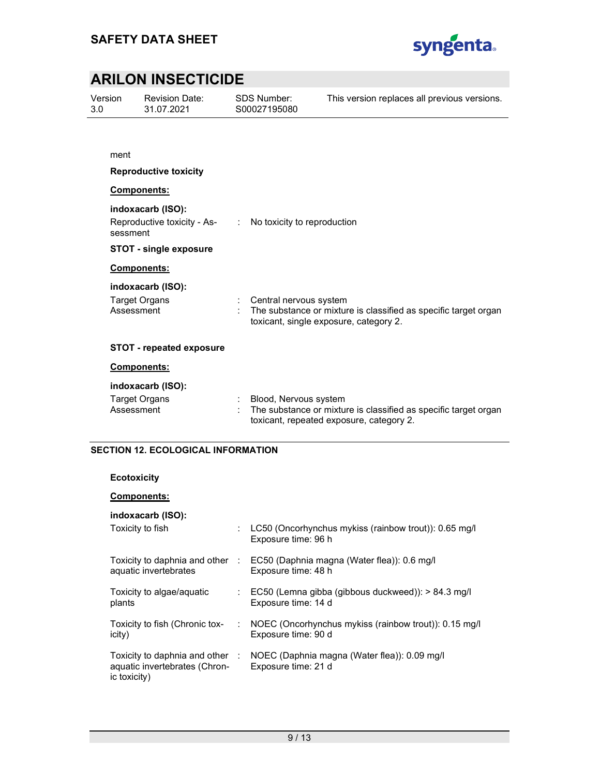

Version 3.0

Revision Date: 31.07.2021

SDS Number: S00027195080 This version replaces all previous versions.

#### Reproductive toxicity

#### Components:

indoxacarb (ISO):

Reproductive toxicity - Assessment : No toxicity to reproduction

#### STOT - single exposure

#### Components:

#### indoxacarb (ISO):

| Target Organs | Central nervous system                                          |
|---------------|-----------------------------------------------------------------|
| Assessment    | The substance or mixture is classified as specific target organ |
|               | toxicant, single exposure, category 2.                          |

#### STOT - repeated exposure

#### Components:

#### indoxacarb (ISO):

| Target Organs | Blood, Nervous system                                           |
|---------------|-----------------------------------------------------------------|
| Assessment    | The substance or mixture is classified as specific target organ |
|               | toxicant, repeated exposure, category 2.                        |

#### SECTION 12. ECOLOGICAL INFORMATION

#### Ecotoxicity

#### Components:

#### indoxacarb (ISO):

| Toxicity to fish                                                                            |   | LC50 (Oncorhynchus mykiss (rainbow trout)): 0.65 mg/l<br>Exposure time: 96 h |
|---------------------------------------------------------------------------------------------|---|------------------------------------------------------------------------------|
| Toxicity to daphnia and other<br>aquatic invertebrates                                      | ÷ | EC50 (Daphnia magna (Water flea)): 0.6 mg/l<br>Exposure time: 48 h           |
| Toxicity to algae/aguatic<br>plants                                                         |   | EC50 (Lemna gibba (gibbous duckweed)): > 84.3 mg/l<br>Exposure time: 14 d    |
| Toxicity to fish (Chronic tox-<br>icity)                                                    | ÷ | NOEC (Oncorhynchus mykiss (rainbow trout)): 0.15 mg/l<br>Exposure time: 90 d |
| Toxicity to daphnia and other $\therefore$<br>aquatic invertebrates (Chron-<br>ic toxicity) |   | NOEC (Daphnia magna (Water flea)): 0.09 mg/l<br>Exposure time: 21 d          |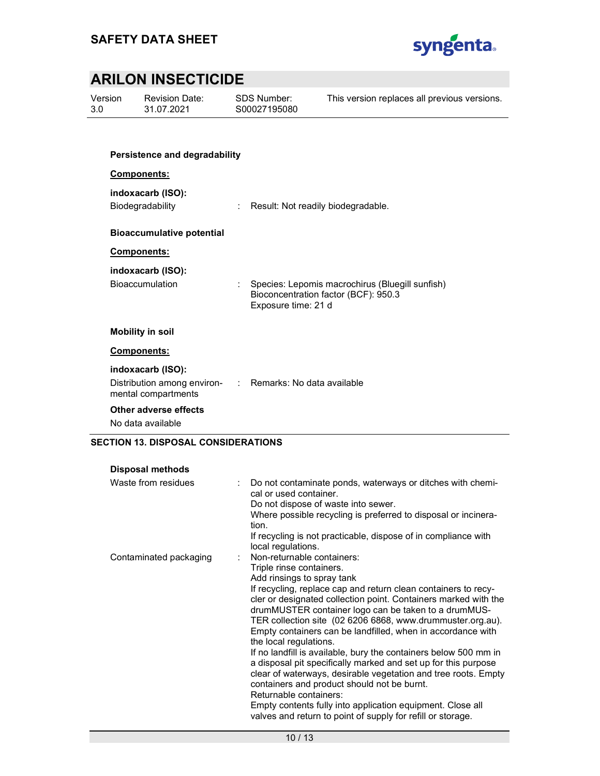

Version 3.0

Revision Date: 31.07.2021

SDS Number: S00027195080 This version replaces all previous versions.

# Persistence and degradability

### Components:

#### indoxacarb (ISO):

Biodegradability : Result: Not readily biodegradable.

#### Bioaccumulative potential

#### Components:

#### indoxacarb (ISO):

Bioaccumulation : Species: Lepomis macrochirus (Bluegill sunfish) Bioconcentration factor (BCF): 950.3 Exposure time: 21 d

#### Mobility in soil

#### Components:

#### indoxacarb (ISO):

| Distribution among environ- | : Remarks: No data available |
|-----------------------------|------------------------------|
| mental compartments         |                              |

#### Other adverse effects

No data available

#### SECTION 13. DISPOSAL CONSIDERATIONS

| <b>Disposal methods</b> |    |                                                                                                                                                                                                                                                                                                                                                                                                                                                                                                                                                                                                                                                                                                                                                                                                                                                        |
|-------------------------|----|--------------------------------------------------------------------------------------------------------------------------------------------------------------------------------------------------------------------------------------------------------------------------------------------------------------------------------------------------------------------------------------------------------------------------------------------------------------------------------------------------------------------------------------------------------------------------------------------------------------------------------------------------------------------------------------------------------------------------------------------------------------------------------------------------------------------------------------------------------|
| Waste from residues     | ÷. | Do not contaminate ponds, waterways or ditches with chemi-<br>cal or used container.<br>Do not dispose of waste into sewer.<br>Where possible recycling is preferred to disposal or incinera-<br>tion.<br>If recycling is not practicable, dispose of in compliance with<br>local regulations.                                                                                                                                                                                                                                                                                                                                                                                                                                                                                                                                                         |
| Contaminated packaging  |    | Non-returnable containers:<br>Triple rinse containers.<br>Add rinsings to spray tank<br>If recycling, replace cap and return clean containers to recy-<br>cler or designated collection point. Containers marked with the<br>drumMUSTER container logo can be taken to a drumMUS-<br>TER collection site (02 6206 6868, www.drummuster.org.au).<br>Empty containers can be landfilled, when in accordance with<br>the local regulations.<br>If no landfill is available, bury the containers below 500 mm in<br>a disposal pit specifically marked and set up for this purpose<br>clear of waterways, desirable vegetation and tree roots. Empty<br>containers and product should not be burnt.<br>Returnable containers:<br>Empty contents fully into application equipment. Close all<br>valves and return to point of supply for refill or storage. |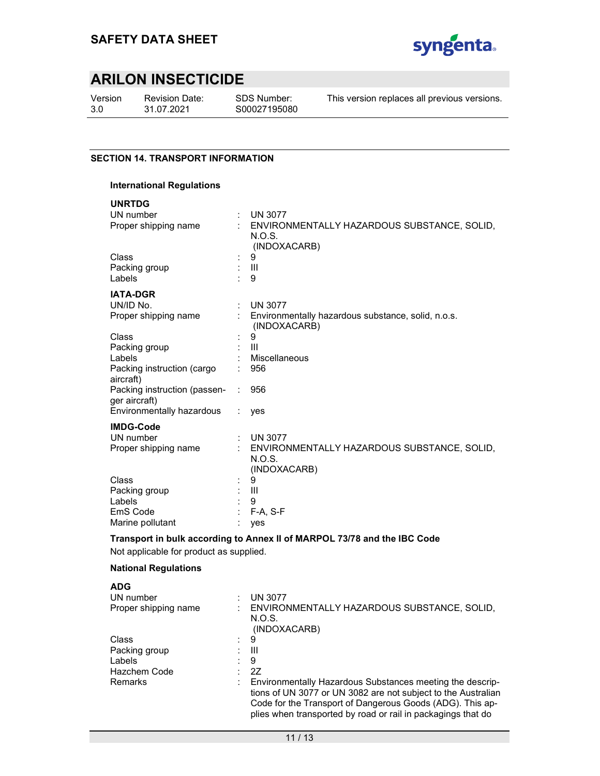

Version 3.0

Revision Date: 31.07.2021

SDS Number: S00027195080

This version replaces all previous versions.

#### SECTION 14. TRANSPORT INFORMATION

#### International Regulations

| <b>UNRTDG</b>                                 |            |                                                                       |
|-----------------------------------------------|------------|-----------------------------------------------------------------------|
| UN number                                     | ÷          | <b>UN 3077</b>                                                        |
| Proper shipping name                          |            | ENVIRONMENTALLY HAZARDOUS SUBSTANCE, SOLID,<br>N.O.S.<br>(INDOXACARB) |
| <b>Class</b>                                  |            | 9                                                                     |
| Packing group                                 |            | Ш                                                                     |
| Labels                                        |            | 9                                                                     |
| <b>IATA-DGR</b>                               |            |                                                                       |
| UN/ID No.                                     | ÷          | <b>UN 3077</b>                                                        |
| Proper shipping name                          |            | Environmentally hazardous substance, solid, n.o.s.<br>(INDOXACARB)    |
| Class                                         |            | 9                                                                     |
| Packing group                                 |            | $\mathbf{III}$                                                        |
| Labels                                        |            | Miscellaneous                                                         |
| Packing instruction (cargo<br>aircraft)       |            | 956                                                                   |
| Packing instruction (passen-<br>ger aircraft) |            | 956                                                                   |
| Environmentally hazardous                     |            | yes                                                                   |
| <b>IMDG-Code</b>                              |            |                                                                       |
| UN number                                     | $\epsilon$ | <b>UN 3077</b>                                                        |
| Proper shipping name                          |            | ENVIRONMENTALLY HAZARDOUS SUBSTANCE, SOLID,                           |
|                                               |            | N.O.S.                                                                |
|                                               |            | (INDOXACARB)                                                          |
| Class                                         |            | 9                                                                     |
| Packing group                                 |            | Ш                                                                     |
| Labels                                        |            | 9                                                                     |
| EmS Code                                      |            | F-A, S-F                                                              |
| Marine pollutant                              |            | yes                                                                   |

#### Transport in bulk according to Annex II of MARPOL 73/78 and the IBC Code

Not applicable for product as supplied.

#### National Regulations

| <b>ADG</b>           |   |                                                                                                                                                                                                                                                         |
|----------------------|---|---------------------------------------------------------------------------------------------------------------------------------------------------------------------------------------------------------------------------------------------------------|
| UN number            | ٠ | <b>UN 3077</b>                                                                                                                                                                                                                                          |
| Proper shipping name |   | ENVIRONMENTALLY HAZARDOUS SUBSTANCE, SOLID,<br>N.O.S.<br>(INDOXACARB)                                                                                                                                                                                   |
| Class                |   | 9                                                                                                                                                                                                                                                       |
| Packing group        |   | Ш                                                                                                                                                                                                                                                       |
| Labels               |   | 9                                                                                                                                                                                                                                                       |
| Hazchem Code         |   | 2Z                                                                                                                                                                                                                                                      |
| Remarks              |   | Environmentally Hazardous Substances meeting the descrip-<br>tions of UN 3077 or UN 3082 are not subject to the Australian<br>Code for the Transport of Dangerous Goods (ADG). This ap-<br>plies when transported by road or rail in packagings that do |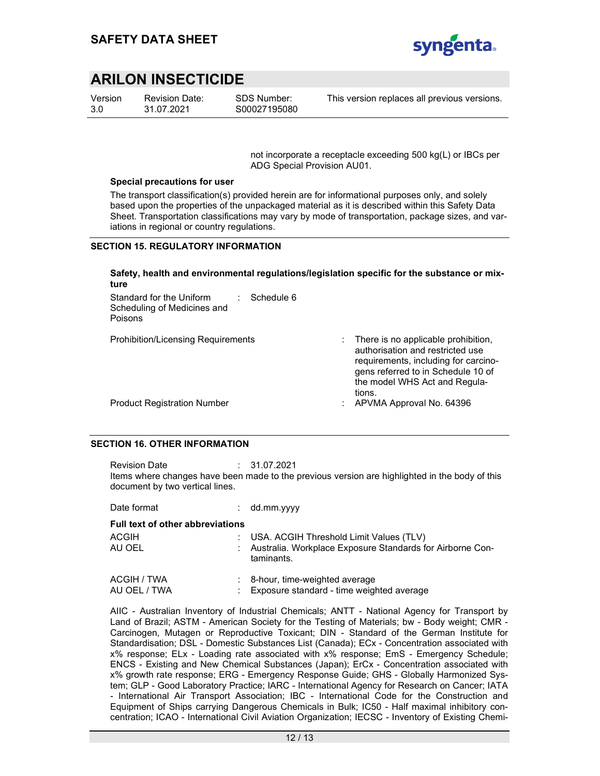

Version 3.0

Revision Date: 31.07.2021

SDS Number: S00027195080

This version replaces all previous versions.

not incorporate a receptacle exceeding 500 kg(L) or IBCs per ADG Special Provision AU01.

#### Special precautions for user

The transport classification(s) provided herein are for informational purposes only, and solely based upon the properties of the unpackaged material as it is described within this Safety Data Sheet. Transportation classifications may vary by mode of transportation, package sizes, and variations in regional or country regulations.

#### SECTION 15. REGULATORY INFORMATION

#### Safety, health and environmental regulations/legislation specific for the substance or mixture

| Standard for the Uniform<br>Schedule 6<br>Scheduling of Medicines and<br>Poisons |                                                                                                                                                                                                               |
|----------------------------------------------------------------------------------|---------------------------------------------------------------------------------------------------------------------------------------------------------------------------------------------------------------|
| <b>Prohibition/Licensing Requirements</b>                                        | $\therefore$ There is no applicable prohibition,<br>authorisation and restricted use<br>requirements, including for carcino-<br>gens referred to in Schedule 10 of<br>the model WHS Act and Regula-<br>tions. |
| <b>Product Registration Number</b>                                               | APVMA Approval No. 64396                                                                                                                                                                                      |

#### SECTION 16. OTHER INFORMATION

Revision Date : 31.07.2021 Items where changes have been made to the previous version are highlighted in the body of this document by two vertical lines.

| Date format                             | $:$ dd.mm.yyyy                                                                                                         |
|-----------------------------------------|------------------------------------------------------------------------------------------------------------------------|
| <b>Full text of other abbreviations</b> |                                                                                                                        |
| ACGIH<br>AU OEL                         | : USA. ACGIH Threshold Limit Values (TLV)<br>: Australia. Workplace Exposure Standards for Airborne Con-<br>taminants. |
| ACGIH / TWA<br>AU OEL / TWA             | : 8-hour, time-weighted average<br>: Exposure standard - time weighted average                                         |

AIIC - Australian Inventory of Industrial Chemicals; ANTT - National Agency for Transport by Land of Brazil; ASTM - American Society for the Testing of Materials; bw - Body weight; CMR - Carcinogen, Mutagen or Reproductive Toxicant; DIN - Standard of the German Institute for Standardisation; DSL - Domestic Substances List (Canada); ECx - Concentration associated with x% response; ELx - Loading rate associated with x% response; EmS - Emergency Schedule; ENCS - Existing and New Chemical Substances (Japan); ErCx - Concentration associated with x% growth rate response; ERG - Emergency Response Guide; GHS - Globally Harmonized System; GLP - Good Laboratory Practice; IARC - International Agency for Research on Cancer; IATA - International Air Transport Association; IBC - International Code for the Construction and Equipment of Ships carrying Dangerous Chemicals in Bulk; IC50 - Half maximal inhibitory concentration; ICAO - International Civil Aviation Organization; IECSC - Inventory of Existing Chemi-